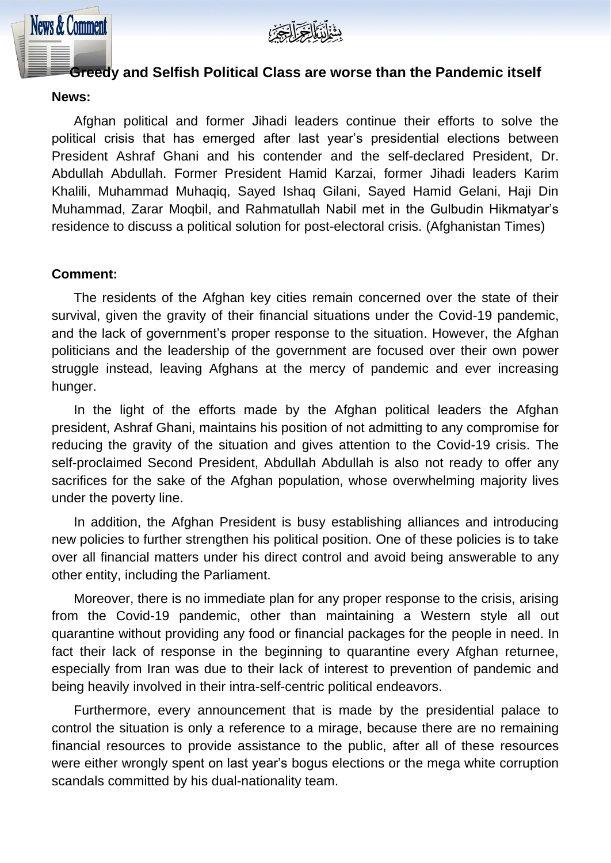

## **Greedy and Selfish Political Class are worse than the Pandemic it self**

#### **News:**

**News & Comment** 

Afghan political and former Jihadi leaders continue their efforts to solve the political crisis that has emerged after last year's presidential elections between President Ashraf Ghani and his contender and the self-declared President, Dr. Abdullah Abdullah. Former President Hamid Karzai, former Jihadi leaders Karim Khalili, Muhammad Muhaqiq, Sayed Ishaq Gilani, Sayed Hamid Gelani, Haji Din Muhammad, Zarar Moqbil, and Rahmatullah Nabil met in the Gulbudin Hikmatyar's residence to discuss a political solution for post-electoral crisis. (Afghanistan Times)

#### **Comment:**

The residents of the Afghan key cities remain concerned over the state of their survival, given the gravity of their financial situations under the Covid-19 pandemic, and the lack of government's proper response to the situation. However, the Afghan politicians and the leadership of the government are focused over their own power struggle instead, leaving Afghans at the mercy of pandemic and ever increasing hunger.

In the light of the efforts made by the Afghan political leaders the Afghan president, Ashraf Ghani, maintains his position of not admitting to any compromise for reducing the gravity of the situation and gives attention to the Covid-19 crisis. The self-proclaimed Second President, Abdullah Abdullah is also not ready to offer any sacrifices for the sake of the Afghan population, whose overwhelming majority lives under the poverty line.

In addition, the Afghan President is busy establishing alliances and introducing new policies to further strengthen his political position. One of these policies is to take over all financial matters under his direct control and avoid being answerable to any other entity, including the Parliament.

Moreover, there is no immediate plan for any proper response to the crisis, arising from the Covid-19 pandemic, other than maintaining a Western style all out quarantine without providing any food or financial packages for the people in need. In fact their lack of response in the beginning to quarantine every Afghan returnee, especially from Iran was due to their lack of interest to prevention of pandemic and being heavily involved in their intra-self-centric political endeavors.

Furthermore, every announcement that is made by the presidential palace to control the situation is only a reference to a mirage, because there are no remaining financial resources to provide assistance to the public, after all of these resources were either wrongly spent on last year's bogus elections or the mega white corruption scandals committed by his dual-nationality team.